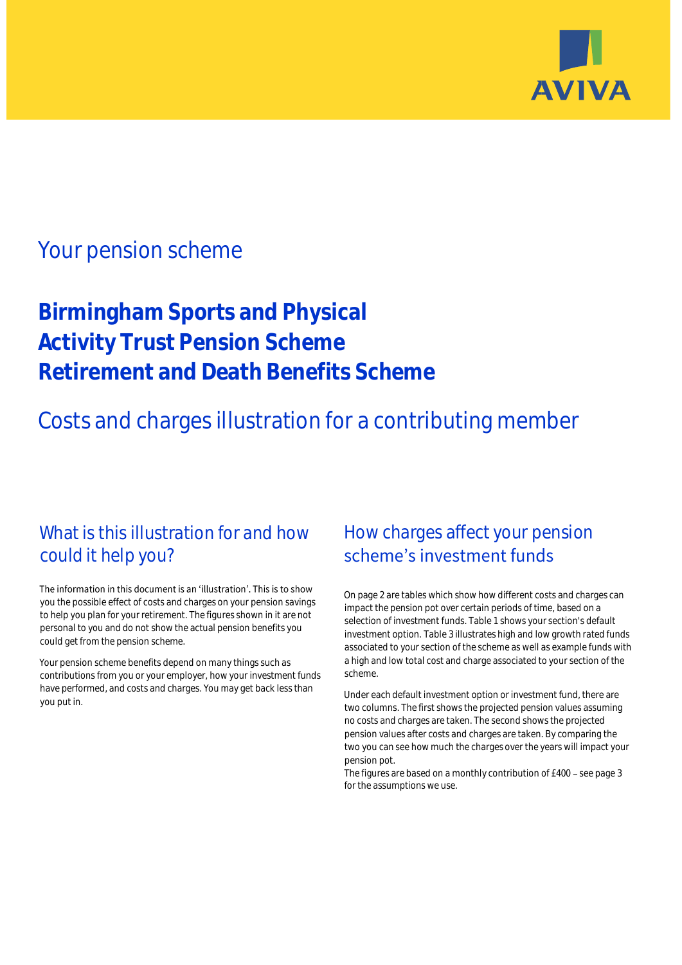

# Your pension scheme

**Birmingham Sports and Physical Activity Trust Pension Scheme Retirement and Death Benefits Scheme**

Costs and charges illustration for a contributing member

# What is this illustration for and how could it help you?

#### The information in this document is an 'illustration'. This is to show you the possible effect of costs and charges on your pension savings to help you plan for your retirement. The figures shown in it are not personal to you and do not show the actual pension benefits you could get from the pension scheme.

Your pension scheme benefits depend on many things such as contributions from you or your employer, how your investment funds have performed, and costs and charges. You may get back less than you put in.

# How charges affect your pension scheme's investment funds

On page 2 are tables which show how different costs and charges can impact the pension pot over certain periods of time, based on a selection of investment funds. Table 1 shows your section's default investment option. Table 3 illustrates high and low growth rated funds associated to your section of the scheme as well as example funds with a high and low total cost and charge associated to your section of the scheme.

Under each default investment option or investment fund, there are two columns. The first shows the projected pension values assuming no costs and charges are taken. The second shows the projected pension values after costs and charges are taken. By comparing the two you can see how much the charges over the years will impact your pension pot.

The figures are based on a monthly contribution of  $£400 -$  see page 3 for the assumptions we use.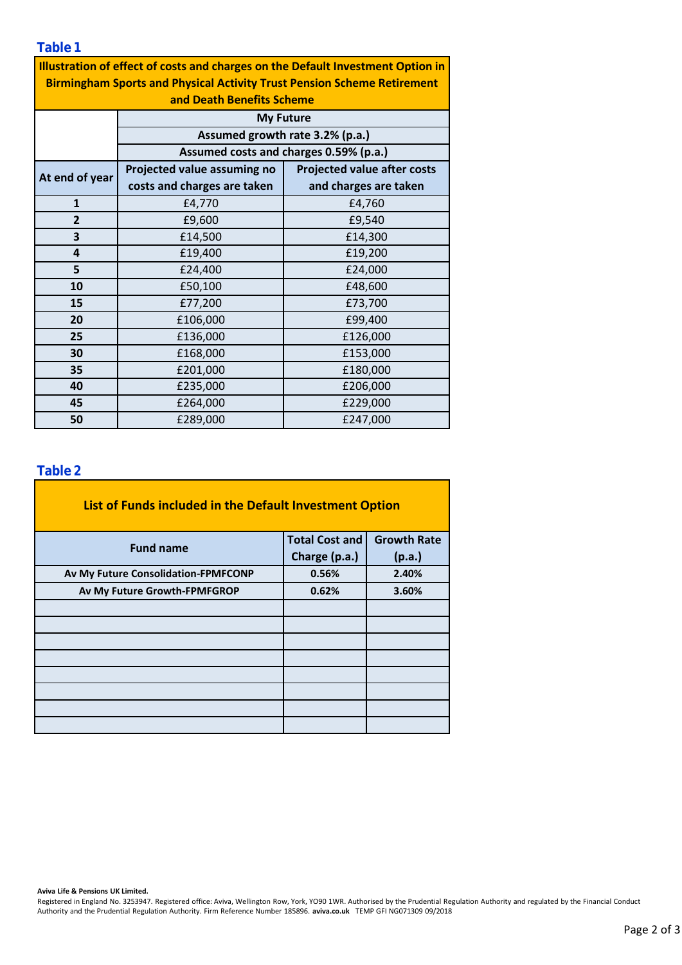### **Table 1**

| Illustration of effect of costs and charges on the Default Investment Option in<br><b>Birmingham Sports and Physical Activity Trust Pension Scheme Retirement</b> |                                                                                               |                                    |  |  |  |  |  |  |
|-------------------------------------------------------------------------------------------------------------------------------------------------------------------|-----------------------------------------------------------------------------------------------|------------------------------------|--|--|--|--|--|--|
| and Death Benefits Scheme                                                                                                                                         |                                                                                               |                                    |  |  |  |  |  |  |
|                                                                                                                                                                   | <b>My Future</b><br>Assumed growth rate 3.2% (p.a.)<br>Assumed costs and charges 0.59% (p.a.) |                                    |  |  |  |  |  |  |
|                                                                                                                                                                   |                                                                                               |                                    |  |  |  |  |  |  |
|                                                                                                                                                                   |                                                                                               |                                    |  |  |  |  |  |  |
| At end of year                                                                                                                                                    | Projected value assuming no                                                                   | <b>Projected value after costs</b> |  |  |  |  |  |  |
|                                                                                                                                                                   | costs and charges are taken                                                                   | and charges are taken              |  |  |  |  |  |  |
| $\mathbf{1}$                                                                                                                                                      | £4,770                                                                                        | £4,760                             |  |  |  |  |  |  |
| $\overline{2}$                                                                                                                                                    | £9,600                                                                                        | £9,540                             |  |  |  |  |  |  |
| 3                                                                                                                                                                 | £14,500                                                                                       | £14,300                            |  |  |  |  |  |  |
| 4                                                                                                                                                                 | £19,400                                                                                       | £19,200                            |  |  |  |  |  |  |
| 5                                                                                                                                                                 | £24,400                                                                                       | £24,000                            |  |  |  |  |  |  |
| 10                                                                                                                                                                | £50,100                                                                                       | £48,600                            |  |  |  |  |  |  |
| 15                                                                                                                                                                | £77,200                                                                                       | £73,700                            |  |  |  |  |  |  |
| 20                                                                                                                                                                | £106,000                                                                                      | £99,400                            |  |  |  |  |  |  |
| 25                                                                                                                                                                | £136,000                                                                                      | £126,000                           |  |  |  |  |  |  |
| 30                                                                                                                                                                | £168,000                                                                                      | £153,000                           |  |  |  |  |  |  |
| 35                                                                                                                                                                | £201,000                                                                                      | £180,000                           |  |  |  |  |  |  |
| 40                                                                                                                                                                | £235,000                                                                                      | £206,000                           |  |  |  |  |  |  |
| 45                                                                                                                                                                | £264,000                                                                                      | £229,000                           |  |  |  |  |  |  |
| 50                                                                                                                                                                | £289,000                                                                                      | £247,000                           |  |  |  |  |  |  |

#### **Table 2**

| List of Funds included in the Default Investment Option |                       |                    |  |  |  |  |  |  |
|---------------------------------------------------------|-----------------------|--------------------|--|--|--|--|--|--|
| <b>Fund name</b>                                        | <b>Total Cost and</b> | <b>Growth Rate</b> |  |  |  |  |  |  |
|                                                         | Charge (p.a.)         | (p.a.)             |  |  |  |  |  |  |
| Av My Future Consolidation-FPMFCONP                     | 0.56%                 | 2.40%              |  |  |  |  |  |  |
| Av My Future Growth-FPMFGROP                            | 0.62%                 | 3.60%              |  |  |  |  |  |  |
|                                                         |                       |                    |  |  |  |  |  |  |
|                                                         |                       |                    |  |  |  |  |  |  |
|                                                         |                       |                    |  |  |  |  |  |  |
|                                                         |                       |                    |  |  |  |  |  |  |
|                                                         |                       |                    |  |  |  |  |  |  |
|                                                         |                       |                    |  |  |  |  |  |  |
|                                                         |                       |                    |  |  |  |  |  |  |
|                                                         |                       |                    |  |  |  |  |  |  |

**Aviva Life & Pensions UK Limited.**

Registered in England No. 3253947. Registered office: Aviva, Wellington Row, York, YO90 1WR. Authorised by the Prudential Regulation Authority and regulated by the Financial Conduct Authority and the Prudential Regulation Authority. Firm Reference Number 185896. **aviva.co.uk** TEMP GFI NG071309 09/2018